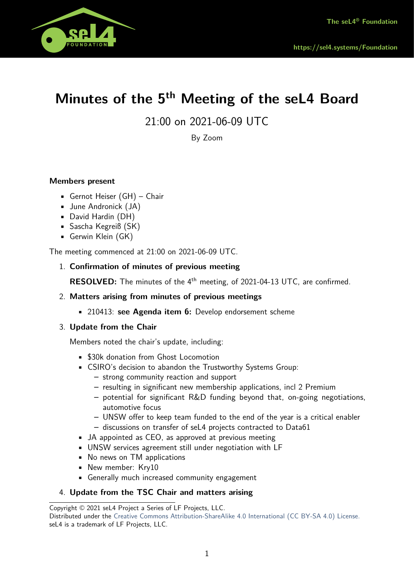

# **Minutes of the 5th Meeting of the seL4 Board**

21:00 on 2021-06-09 UTC

By Zoom

# **Members present**

- Gernot Heiser (GH) Chair
- June Andronick (JA)
- David Hardin (DH)
- Sascha Kegreiß (SK)
- Gerwin Klein (GK)

The meeting commenced at 21:00 on 2021-06-09 UTC.

1. **Confirmation of minutes of previous meeting**

**RESOLVED:** The minutes of the 4<sup>th</sup> meeting, of 2021-04-13 UTC, are confirmed.

- 2. **Matters arising from minutes of previous meetings**
	- 210413: **see Agenda item 6:** Develop endorsement scheme

## 3. **Update from the Chair**

Members noted the chair's update, including:

- \$30k donation from Ghost Locomotion
- CSIRO's decision to abandon the Trustworthy Systems Group:
	- **–** strong community reaction and support
	- **–** resulting in significant new membership applications, incl 2 Premium
	- **–** potential for significant R&D funding beyond that, on-going negotiations, automotive focus
	- **–** UNSW oer to keep team funded to the end of the year is a critical enabler **–** discussions on transfer of seL4 projects contracted to Data61
- JA appointed as CEO, as approved at previous meeting
- UNSW services agreement still under negotiation with LF
- No news on TM applications
- New member: Kry10
- Generally much increased community engagement

## 4. **Update from the TSC Chair and matters arising**

Copyright © 2021 seL4 Project a Series of LF Projects, LLC.

Distributed under the [Creative Commons Attribution-ShareAlike 4.0 International \(CC BY-SA 4.0\) License.](https://creativecommons.org/licenses/by-sa/4.0/legalcode) seL4 is a trademark of LF Projects, LLC.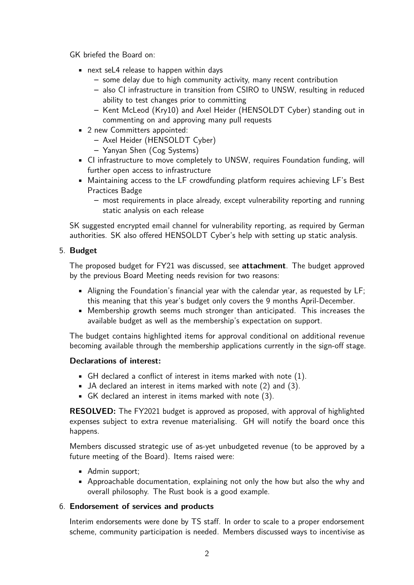GK briefed the Board on:

- next seL4 release to happen within days
	- **–** some delay due to high community activity, many recent contribution
	- **–** also CI infrastructure in transition from CSIRO to UNSW, resulting in reduced ability to test changes prior to committing
	- **–** Kent McLeod (Kry10) and Axel Heider (HENSOLDT Cyber) standing out in commenting on and approving many pull requests
- 2 new Committers appointed:
	- **–** Axel Heider (HENSOLDT Cyber)
	- **–** Yanyan Shen (Cog Systems)
- CI infrastructure to move completely to UNSW, requires Foundation funding, will further open access to infrastructure
- Maintaining access to the LF crowdfunding platform requires achieving LF's Best Practices Badge
	- **–** most requirements in place already, except vulnerability reporting and running static analysis on each release

SK suggested encrypted email channel for vulnerability reporting, as required by German authorities. SK also offered HENSOLDT Cyber's help with setting up static analysis.

# 5. **Budget**

The proposed budget for FY21 was discussed, see **attachment**. The budget approved by the previous Board Meeting needs revision for two reasons:

- Aligning the Foundation's financial year with the calendar year, as requested by LF; this meaning that this year's budget only covers the 9 months April-December.
- Membership growth seems much stronger than anticipated. This increases the available budget as well as the membership's expectation on support.

The budget contains highlighted items for approval conditional on additional revenue becoming available through the membership applications currently in the sign-off stage.

# **Declarations of interest:**

- GH declared a conflict of interest in items marked with note (1).
- JA declared an interest in items marked with note (2) and (3).
- GK declared an interest in items marked with note (3).

**RESOLVED:** The FY2021 budget is approved as proposed, with approval of highlighted expenses subject to extra revenue materialising. GH will notify the board once this happens.

Members discussed strategic use of as-yet unbudgeted revenue (to be approved by a future meeting of the Board). Items raised were:

- Admin support;
- Approachable documentation, explaining not only the how but also the why and overall philosophy. The Rust book is a good example.

# 6. **Endorsement of services and products**

Interim endorsements were done by TS staff. In order to scale to a proper endorsement scheme, community participation is needed. Members discussed ways to incentivise as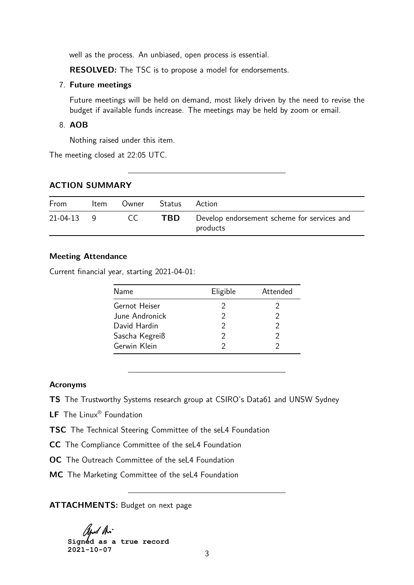well as the process. An unbiased, open process is essential.

**RESOLVED:** The TSC is to propose a model for endorsements.

#### 7. **Future meetings**

Future meetings will be held on demand, most likely driven by the need to revise the budget if available funds increase. The meetings may be held by zoom or email.

#### 8. **AOB**

Nothing raised under this item.

The meeting closed at 22:05 UTC.

### **ACTION SUMMARY**

| From         | Item | Owner | Status | Action                                                  |
|--------------|------|-------|--------|---------------------------------------------------------|
| $21-04-13$ 9 |      | CC.   | TBD.   | Develop endorsement scheme for services and<br>products |

### **Meeting Attendance**

Current financial year, starting 2021-04-01:

| Name           | Eligible | Attended |
|----------------|----------|----------|
| Gernot Heiser  |          |          |
| June Andronick | 2        | 2        |
| David Hardin   | 2        |          |
| Sascha Kegreiß |          | 2        |
| Gerwin Klein   |          |          |

### **Acronyms**

**TS** The Trustworthy Systems research group at CSIRO's Data61 and UNSW Sydney

**LF** The Linux® Foundation

**TSC** The Technical Steering Committee of the seL4 Foundation

**CC** The Compliance Committee of the seL4 Foundation

**OC** The Outreach Committee of the seL4 Foundation

**MC** The Marketing Committee of the seL4 Foundation

**ATTACHMENTS:** Budget on next page

**Signed as a true record 2021-10-07**